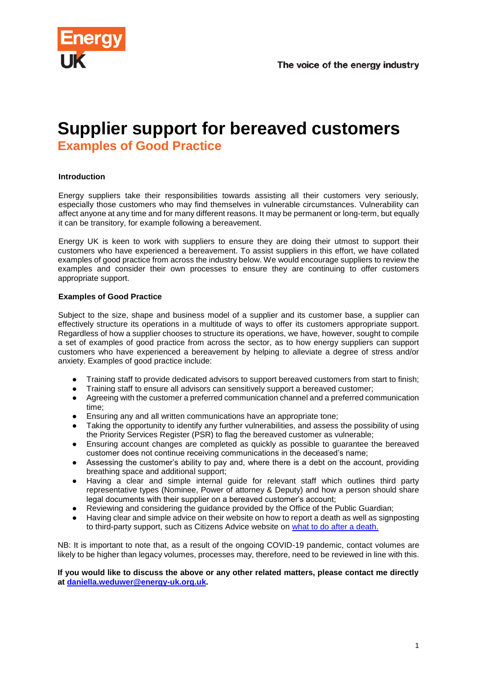

# **Supplier support for bereaved customers**

**Examples of Good Practice**

## **Introduction**

Energy suppliers take their responsibilities towards assisting all their customers very seriously, especially those customers who may find themselves in vulnerable circumstances. Vulnerability can affect anyone at any time and for many different reasons. It may be permanent or long-term, but equally it can be transitory, for example following a bereavement.

Energy UK is keen to work with suppliers to ensure they are doing their utmost to support their customers who have experienced a bereavement. To assist suppliers in this effort, we have collated examples of good practice from across the industry below. We would encourage suppliers to review the examples and consider their own processes to ensure they are continuing to offer customers appropriate support.

#### **Examples of Good Practice**

Subject to the size, shape and business model of a supplier and its customer base, a supplier can effectively structure its operations in a multitude of ways to offer its customers appropriate support. Regardless of how a supplier chooses to structure its operations, we have, however, sought to compile a set of examples of good practice from across the sector, as to how energy suppliers can support customers who have experienced a bereavement by helping to alleviate a degree of stress and/or anxiety. Examples of good practice include:

- Training staff to provide dedicated advisors to support bereaved customers from start to finish;
- Training staff to ensure all advisors can sensitively support a bereaved customer;
- Agreeing with the customer a preferred communication channel and a preferred communication time;
- Ensuring any and all written communications have an appropriate tone;
- Taking the opportunity to identify any further vulnerabilities, and assess the possibility of using the Priority Services Register (PSR) to flag the bereaved customer as vulnerable;
- Ensuring account changes are completed as quickly as possible to guarantee the bereaved customer does not continue receiving communications in the deceased's name;
- Assessing the customer's ability to pay and, where there is a debt on the account, providing breathing space and additional support;
- Having a clear and simple internal guide for relevant staff which outlines third party representative types (Nominee, Power of attorney & Deputy) and how a person should share legal documents with their supplier on a bereaved customer's account;
- Reviewing and considering the guidance provided by the Office of the Public Guardian;
- Having clear and simple advice on their website on how to report a death as well as signposting to third-party support, such as Citizens Advice website on [what to do after a death.](https://www.citizensadvice.org.uk/family/death-and-wills/what-to-do-after-a-death/)

NB: It is important to note that, as a result of the ongoing COVID-19 pandemic, contact volumes are likely to be higher than legacy volumes, processes may, therefore, need to be reviewed in line with this.

#### **If you would like to discuss the above or any other related matters, please contact me directly at daniella.weduwer@energy-uk.org.uk.**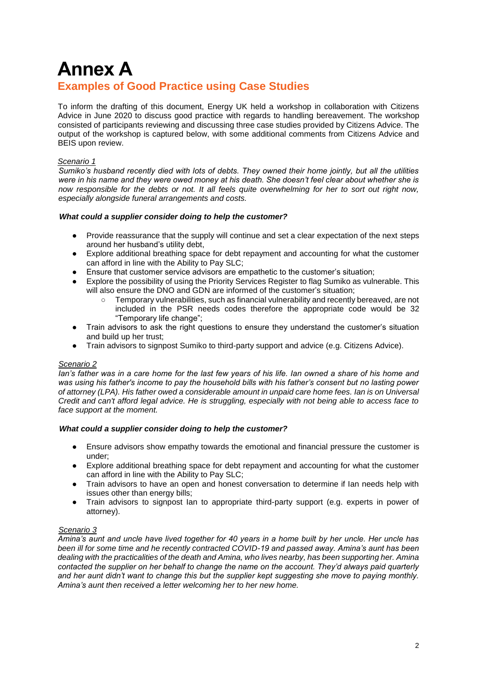# **Annex A Examples of Good Practice using Case Studies**

To inform the drafting of this document, Energy UK held a workshop in collaboration with Citizens Advice in June 2020 to discuss good practice with regards to handling bereavement. The workshop consisted of participants reviewing and discussing three case studies provided by Citizens Advice. The output of the workshop is captured below, with some additional comments from Citizens Advice and BEIS upon review.

### *Scenario 1*

*Sumiko's husband recently died with lots of debts. They owned their home jointly, but all the utilities were in his name and they were owed money at his death. She doesn't feel clear about whether she is now responsible for the debts or not. It all feels quite overwhelming for her to sort out right now, especially alongside funeral arrangements and costs.* 

#### *What could a supplier consider doing to help the customer?*

- Provide reassurance that the supply will continue and set a clear expectation of the next steps around her husband's utility debt,
- Explore additional breathing space for debt repayment and accounting for what the customer can afford in line with the Ability to Pay SLC;
- Ensure that customer service advisors are empathetic to the customer's situation;
- Explore the possibility of using the Priority Services Register to flag Sumiko as vulnerable. This will also ensure the DNO and GDN are informed of the customer's situation;
	- Temporary vulnerabilities, such as financial vulnerability and recently bereaved, are not included in the PSR needs codes therefore the appropriate code would be 32 "Temporary life change";
- Train advisors to ask the right questions to ensure they understand the customer's situation and build up her trust;
- Train advisors to signpost Sumiko to third-party support and advice (e.g. Citizens Advice).

#### *Scenario 2*

*Ian's father was in a care home for the last few years of his life. Ian owned a share of his home and was using his father's income to pay the household bills with his father's consent but no lasting power of attorney (LPA). His father owed a considerable amount in unpaid care home fees. Ian is on Universal Credit and can't afford legal advice. He is struggling, especially with not being able to access face to face support at the moment.* 

#### *What could a supplier consider doing to help the customer?*

- Ensure advisors show empathy towards the emotional and financial pressure the customer is under;
- Explore additional breathing space for debt repayment and accounting for what the customer can afford in line with the Ability to Pay SLC;
- Train advisors to have an open and honest conversation to determine if Ian needs help with issues other than energy bills;
- Train advisors to signpost Ian to appropriate third-party support (e.g. experts in power of attorney).

#### *Scenario 3*

*Amina's aunt and uncle have lived together for 40 years in a home built by her uncle. Her uncle has been ill for some time and he recently contracted COVID-19 and passed away. Amina's aunt has been dealing with the practicalities of the death and Amina, who lives nearby, has been supporting her. Amina contacted the supplier on her behalf to change the name on the account. They'd always paid quarterly and her aunt didn't want to change this but the supplier kept suggesting she move to paying monthly. Amina's aunt then received a letter welcoming her to her new home.*